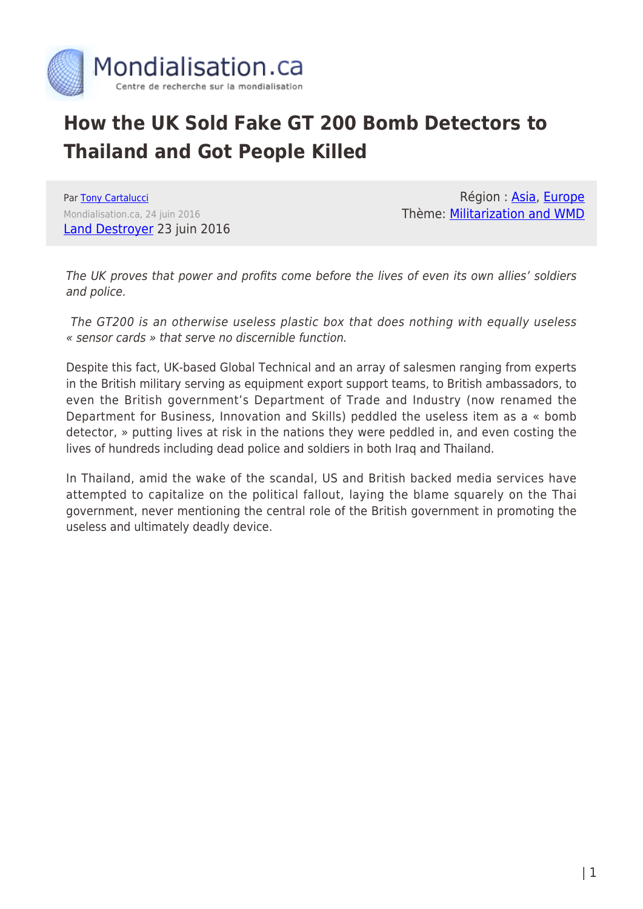

## **How the UK Sold Fake GT 200 Bomb Detectors to Thailand and Got People Killed**

Par [Tony Cartalucci](https://www.mondialisation.ca/author/tony-cartalucci) Mondialisation.ca, 24 juin 2016 [Land Destroyer](http://landdestroyer.blogspot.ca/2016/06/gt200-how-london-sold-fake-bomb.html) 23 juin 2016

Région : [Asia](https://www.mondialisation.ca/region/asia-as), [Europe](https://www.mondialisation.ca/region/europe-as) Thème: [Militarization and WMD](https://www.mondialisation.ca/theme/militarization-and-wmd-as)

The UK proves that power and profits come before the lives of even its own allies' soldiers and police.

 The GT200 is an otherwise useless plastic box that does nothing with equally useless « sensor cards » that serve no discernible function.

Despite this fact, UK-based Global Technical and an array of salesmen ranging from experts in the British military serving as equipment export support teams, to British ambassadors, to even the British government's Department of Trade and Industry (now renamed the Department for Business, Innovation and Skills) peddled the useless item as a « bomb detector, » putting lives at risk in the nations they were peddled in, and even costing the lives of hundreds including dead police and soldiers in both Iraq and Thailand.

In Thailand, amid the wake of the scandal, US and British backed media services have attempted to capitalize on the political fallout, laying the blame squarely on the Thai government, never mentioning the central role of the British government in promoting the useless and ultimately deadly device.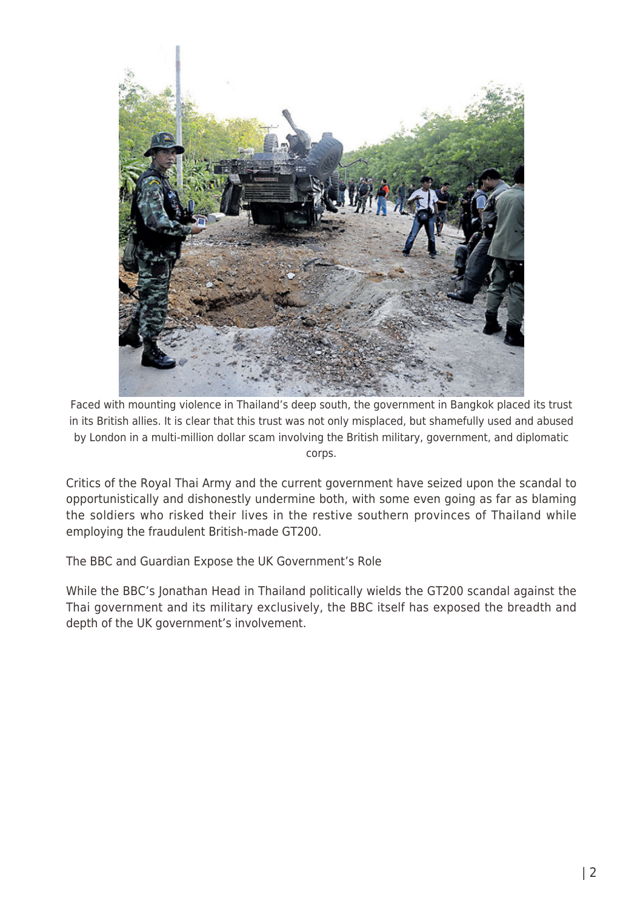

Faced with mounting violence in Thailand's deep south, the government in Bangkok placed its trust in its British allies. It is clear that this trust was not only misplaced, but shamefully used and abused by London in a multi-million dollar scam involving the British military, government, and diplomatic corps.

Critics of the Royal Thai Army and the current government have seized upon the scandal to opportunistically and dishonestly undermine both, with some even going as far as blaming the soldiers who risked their lives in the restive southern provinces of Thailand while employing the fraudulent British-made GT200.

The BBC and Guardian Expose the UK Government's Role

While the BBC's Jonathan Head in Thailand politically wields the GT200 scandal against the Thai government and its military exclusively, the BBC itself has exposed the breadth and depth of the UK government's involvement.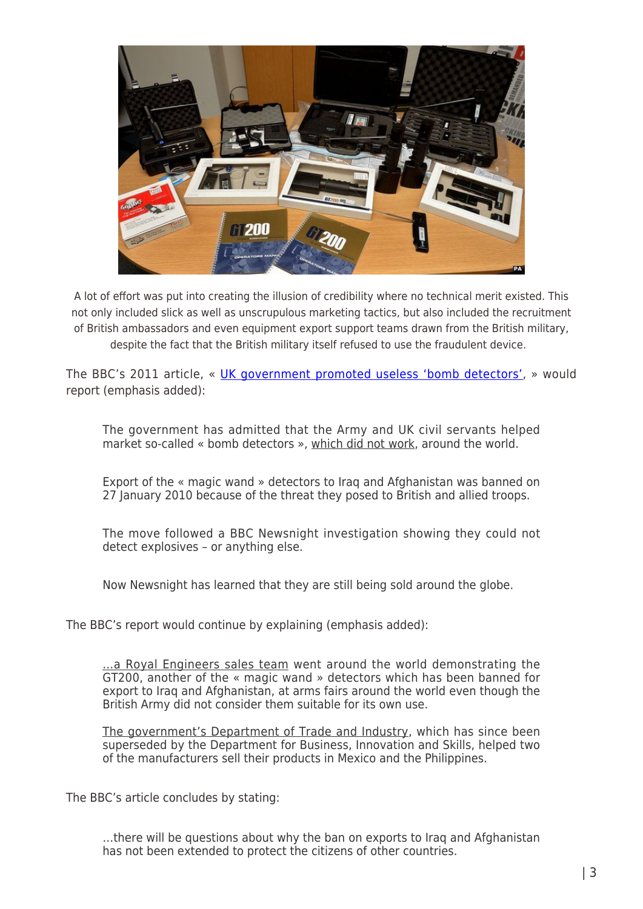

A lot of effort was put into creating the illusion of credibility where no technical merit existed. This not only included slick as well as unscrupulous marketing tactics, but also included the recruitment of British ambassadors and even equipment export support teams drawn from the British military, despite the fact that the British military itself refused to use the fraudulent device.

The BBC's 2011 article, « [UK government promoted useless 'bomb detectors'](http://news.bbc.co.uk/2/hi/programmes/newsnight/9377875.stm), » would report (emphasis added):

The government has admitted that the Army and UK civil servants helped market so-called « bomb detectors », which did not work, around the world.

Export of the « magic wand » detectors to Iraq and Afghanistan was banned on 27 January 2010 because of the threat they posed to British and allied troops.

The move followed a BBC Newsnight investigation showing they could not detect explosives – or anything else.

Now Newsnight has learned that they are still being sold around the globe.

The BBC's report would continue by explaining (emphasis added):

…a Royal Engineers sales team went around the world demonstrating the GT200, another of the « magic wand » detectors which has been banned for export to Iraq and Afghanistan, at arms fairs around the world even though the British Army did not consider them suitable for its own use.

The government's Department of Trade and Industry, which has since been superseded by the Department for Business, Innovation and Skills, helped two of the manufacturers sell their products in Mexico and the Philippines.

The BBC's article concludes by stating:

…there will be questions about why the ban on exports to Iraq and Afghanistan has not been extended to protect the citizens of other countries.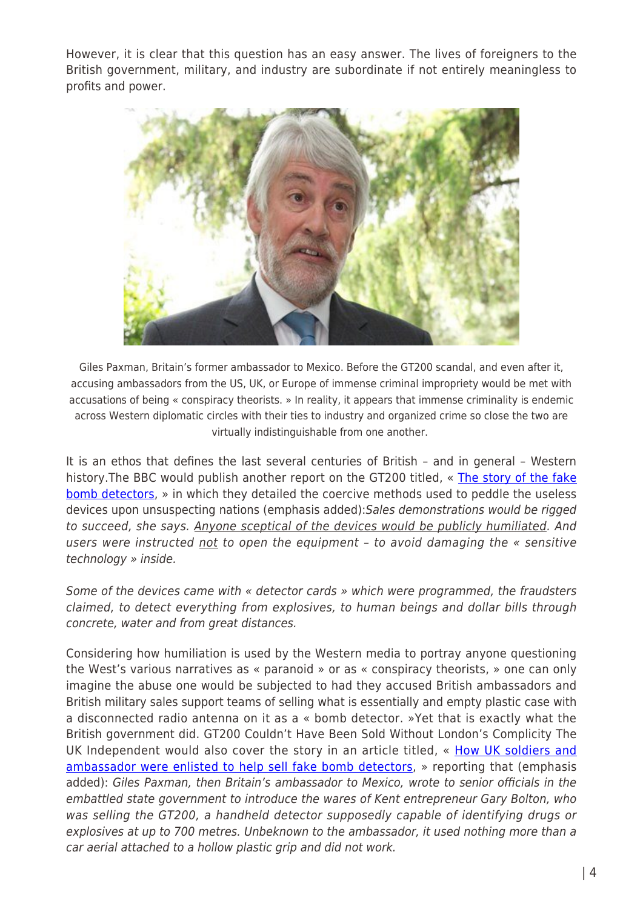However, it is clear that this question has an easy answer. The lives of foreigners to the British government, military, and industry are subordinate if not entirely meaningless to profits and power.



Giles Paxman, Britain's former ambassador to Mexico. Before the GT200 scandal, and even after it, accusing ambassadors from the US, UK, or Europe of immense criminal impropriety would be met with accusations of being « conspiracy theorists. » In reality, it appears that immense criminality is endemic across Western diplomatic circles with their ties to industry and organized crime so close the two are virtually indistinguishable from one another.

It is an ethos that defines the last several centuries of British – and in general – Western history. The BBC would publish another report on the GT200 titled, « [The story of the fake](http://www.bbc.com/news/uk-29459896) [bomb detectors](http://www.bbc.com/news/uk-29459896), » in which they detailed the coercive methods used to peddle the useless devices upon unsuspecting nations (emphasis added):Sales demonstrations would be rigged to succeed, she says. Anyone sceptical of the devices would be publicly humiliated. And users were instructed not to open the equipment - to avoid damaging the « sensitive technology » inside.

Some of the devices came with « detector cards » which were programmed, the fraudsters claimed, to detect everything from explosives, to human beings and dollar bills through concrete, water and from great distances.

Considering how humiliation is used by the Western media to portray anyone questioning the West's various narratives as « paranoid » or as « conspiracy theorists, » one can only imagine the abuse one would be subjected to had they accused British ambassadors and British military sales support teams of selling what is essentially and empty plastic case with a disconnected radio antenna on it as a « bomb detector. »Yet that is exactly what the British government did. GT200 Couldn't Have Been Sold Without London's Complicity The UK Independent would also cover the story in an article titled, « [How UK soldiers and](https://www.theguardian.com/uk-news/2014/jan/26/government-soldiers-ambassador-fake-bomb-detector) [ambassador were enlisted to help sell fake bomb detectors](https://www.theguardian.com/uk-news/2014/jan/26/government-soldiers-ambassador-fake-bomb-detector), » reporting that (emphasis added): Giles Paxman, then Britain's ambassador to Mexico, wrote to senior officials in the embattled state government to introduce the wares of Kent entrepreneur Gary Bolton, who was selling the GT200, a handheld detector supposedly capable of identifying drugs or explosives at up to 700 metres. Unbeknown to the ambassador, it used nothing more than a car aerial attached to a hollow plastic grip and did not work.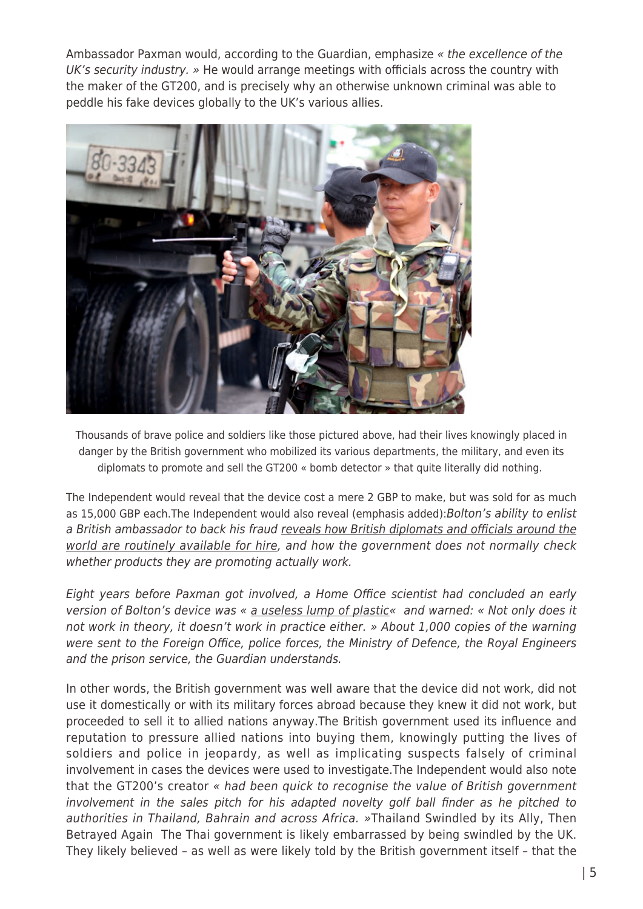Ambassador Paxman would, according to the Guardian, emphasize « the excellence of the UK's security industry. » He would arrange meetings with officials across the country with the maker of the GT200, and is precisely why an otherwise unknown criminal was able to peddle his fake devices globally to the UK's various allies.



Thousands of brave police and soldiers like those pictured above, had their lives knowingly placed in danger by the British government who mobilized its various departments, the military, and even its diplomats to promote and sell the GT200 « bomb detector » that quite literally did nothing.

The Independent would reveal that the device cost a mere 2 GBP to make, but was sold for as much as 15,000 GBP each. The Independent would also reveal (emphasis added): Bolton's ability to enlist a British ambassador to back his fraud reveals how British diplomats and officials around the world are routinely available for hire, and how the government does not normally check whether products they are promoting actually work.

Eight years before Paxman got involved, a Home Office scientist had concluded an early version of Bolton's device was « a useless lump of plastic« and warned: « Not only does it not work in theory, it doesn't work in practice either. » About 1,000 copies of the warning were sent to the Foreign Office, police forces, the Ministry of Defence, the Royal Engineers and the prison service, the Guardian understands.

In other words, the British government was well aware that the device did not work, did not use it domestically or with its military forces abroad because they knew it did not work, but proceeded to sell it to allied nations anyway.The British government used its influence and reputation to pressure allied nations into buying them, knowingly putting the lives of soldiers and police in jeopardy, as well as implicating suspects falsely of criminal involvement in cases the devices were used to investigate.The Independent would also note that the GT200's creator « had been quick to recognise the value of British government involvement in the sales pitch for his adapted novelty golf ball finder as he pitched to authorities in Thailand, Bahrain and across Africa. »Thailand Swindled by its Ally, Then Betrayed Again The Thai government is likely embarrassed by being swindled by the UK. They likely believed – as well as were likely told by the British government itself – that the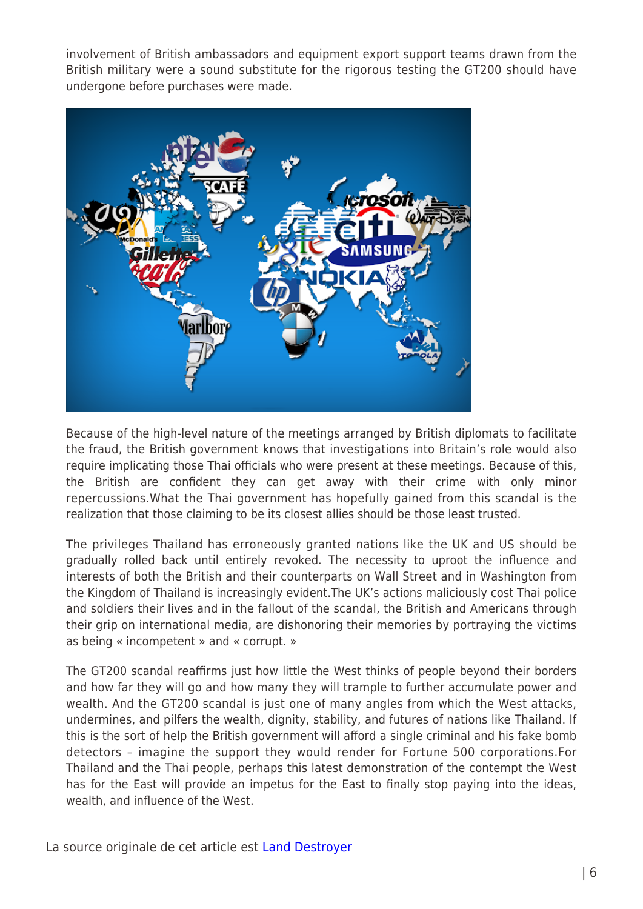involvement of British ambassadors and equipment export support teams drawn from the British military were a sound substitute for the rigorous testing the GT200 should have undergone before purchases were made.



Because of the high-level nature of the meetings arranged by British diplomats to facilitate the fraud, the British government knows that investigations into Britain's role would also require implicating those Thai officials who were present at these meetings. Because of this, the British are confident they can get away with their crime with only minor repercussions.What the Thai government has hopefully gained from this scandal is the realization that those claiming to be its closest allies should be those least trusted.

The privileges Thailand has erroneously granted nations like the UK and US should be gradually rolled back until entirely revoked. The necessity to uproot the influence and interests of both the British and their counterparts on Wall Street and in Washington from the Kingdom of Thailand is increasingly evident.The UK's actions maliciously cost Thai police and soldiers their lives and in the fallout of the scandal, the British and Americans through their grip on international media, are dishonoring their memories by portraying the victims as being « incompetent » and « corrupt. »

The GT200 scandal reaffirms just how little the West thinks of people beyond their borders and how far they will go and how many they will trample to further accumulate power and wealth. And the GT200 scandal is just one of many angles from which the West attacks, undermines, and pilfers the wealth, dignity, stability, and futures of nations like Thailand. If this is the sort of help the British government will afford a single criminal and his fake bomb detectors – imagine the support they would render for Fortune 500 corporations.For Thailand and the Thai people, perhaps this latest demonstration of the contempt the West has for the East will provide an impetus for the East to finally stop paying into the ideas, wealth, and influence of the West.